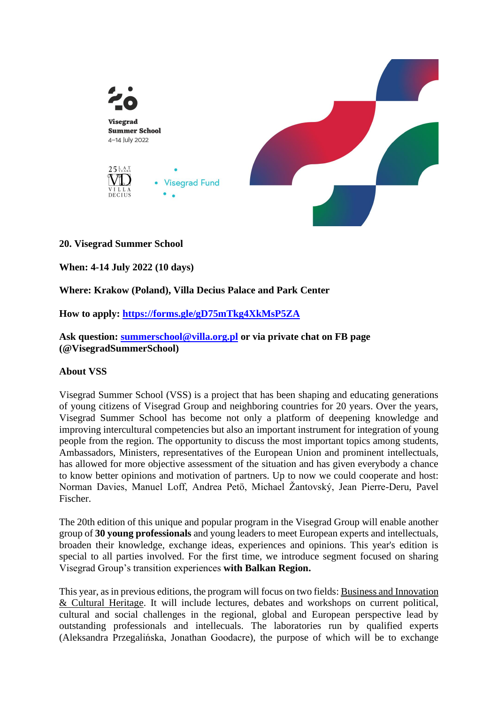

## **20. Visegrad Summer School**

**When: 4-14 July 2022 (10 days)**

## **Where: Krakow (Poland), Villa Decius Palace and Park Center**

**How to apply:<https://forms.gle/gD75mTkg4XkMsP5ZA>**

**Ask question: [summerschool@villa.org.pl](mailto:summerschool@villa.org.pl) or via private chat on FB page (@VisegradSummerSchool)**

## **About VSS**

Visegrad Summer School (VSS) is a project that has been shaping and educating generations of young citizens of Visegrad Group and neighboring countries for 20 years. Over the years, Visegrad Summer School has become not only a platform of deepening knowledge and improving intercultural competencies but also an important instrument for integration of young people from the region. The opportunity to discuss the most important topics among students, Ambassadors, Ministers, representatives of the European Union and prominent intellectuals, has allowed for more objective assessment of the situation and has given everybody a chance to know better opinions and motivation of partners. Up to now we could cooperate and host: Norman Davies, Manuel Loff, Andrea Petö, Michael Žantovský, Jean Pierre-Deru, Pavel Fischer.

The 20th edition of this unique and popular program in the Visegrad Group will enable another group of **30 young professionals** and young leaders to meet European experts and intellectuals, broaden their knowledge, exchange ideas, experiences and opinions. This year's edition is special to all parties involved. For the first time, we introduce segment focused on sharing Visegrad Group's transition experiences **with Balkan Region.**

This year, as in previous editions, the program will focus on two fields: Business and Innovation & Cultural Heritage. It will include lectures, debates and workshops on current political, cultural and social challenges in the regional, global and European perspective lead by outstanding professionals and intellecuals. The laboratories run by qualified experts (Aleksandra Przegalińska, Jonathan Goodacre), the purpose of which will be to exchange